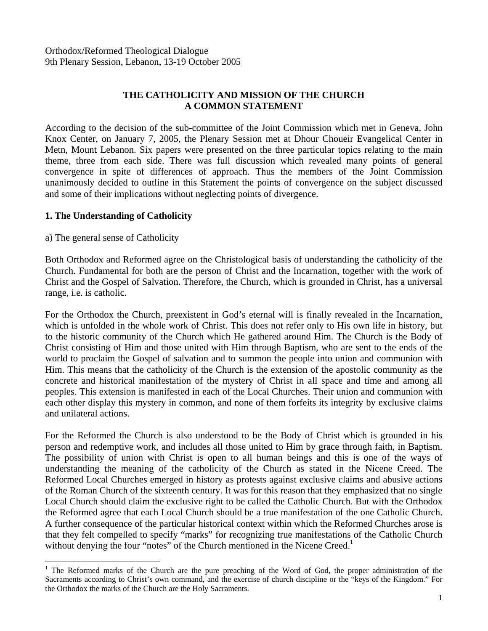# **THE CATHOLICITY AND MISSION OF THE CHURCH A COMMON STATEMENT**

According to the decision of the sub-committee of the Joint Commission which met in Geneva, John Knox Center, on January 7, 2005, the Plenary Session met at Dhour Choueir Evangelical Center in Metn, Mount Lebanon. Six papers were presented on the three particular topics relating to the main theme, three from each side. There was full discussion which revealed many points of general convergence in spite of differences of approach. Thus the members of the Joint Commission unanimously decided to outline in this Statement the points of convergence on the subject discussed and some of their implications without neglecting points of divergence.

### **1. The Understanding of Catholicity**

a) The general sense of Catholicity

 $\overline{a}$ 

Both Orthodox and Reformed agree on the Christological basis of understanding the catholicity of the Church. Fundamental for both are the person of Christ and the Incarnation, together with the work of Christ and the Gospel of Salvation. Therefore, the Church, which is grounded in Christ, has a universal range, i.e. is catholic.

For the Orthodox the Church, preexistent in God's eternal will is finally revealed in the Incarnation, which is unfolded in the whole work of Christ. This does not refer only to His own life in history, but to the historic community of the Church which He gathered around Him. The Church is the Body of Christ consisting of Him and those united with Him through Baptism, who are sent to the ends of the world to proclaim the Gospel of salvation and to summon the people into union and communion with Him. This means that the catholicity of the Church is the extension of the apostolic community as the concrete and historical manifestation of the mystery of Christ in all space and time and among all peoples. This extension is manifested in each of the Local Churches. Their union and communion with each other display this mystery in common, and none of them forfeits its integrity by exclusive claims and unilateral actions.

For the Reformed the Church is also understood to be the Body of Christ which is grounded in his person and redemptive work, and includes all those united to Him by grace through faith, in Baptism. The possibility of union with Christ is open to all human beings and this is one of the ways of understanding the meaning of the catholicity of the Church as stated in the Nicene Creed. The Reformed Local Churches emerged in history as protests against exclusive claims and abusive actions of the Roman Church of the sixteenth century. It was for this reason that they emphasized that no single Local Church should claim the exclusive right to be called the Catholic Church. But with the Orthodox the Reformed agree that each Local Church should be a true manifestation of the one Catholic Church. A further consequence of the particular historical context within which the Reformed Churches arose is that they felt compelled to specify "marks" for recognizing true manifestations of the Catholic Church without denying the four "notes" of the Church mentioned in the Nicene Creed.<sup>[1](#page-0-0)</sup>

<span id="page-0-0"></span><sup>&</sup>lt;sup>1</sup> The Reformed marks of the Church are the pure preaching of the Word of God, the proper administration of the Sacraments according to Christ's own command, and the exercise of church discipline or the "keys of the Kingdom." For the Orthodox the marks of the Church are the Holy Sacraments.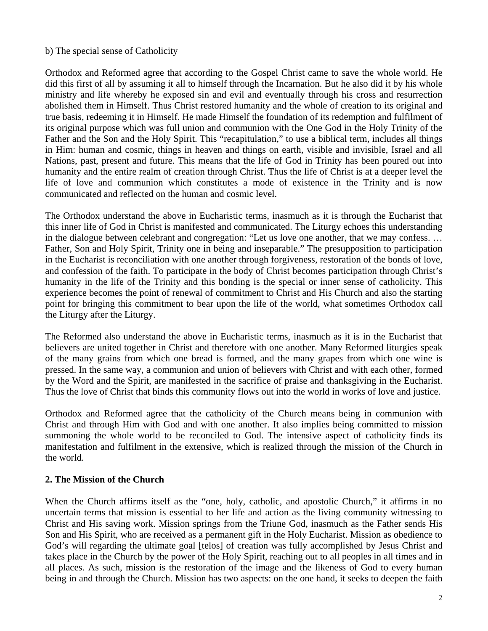#### b) The special sense of Catholicity

Orthodox and Reformed agree that according to the Gospel Christ came to save the whole world. He did this first of all by assuming it all to himself through the Incarnation. But he also did it by his whole ministry and life whereby he exposed sin and evil and eventually through his cross and resurrection abolished them in Himself. Thus Christ restored humanity and the whole of creation to its original and true basis, redeeming it in Himself. He made Himself the foundation of its redemption and fulfilment of its original purpose which was full union and communion with the One God in the Holy Trinity of the Father and the Son and the Holy Spirit. This "recapitulation," to use a biblical term, includes all things in Him: human and cosmic, things in heaven and things on earth, visible and invisible, Israel and all Nations, past, present and future. This means that the life of God in Trinity has been poured out into humanity and the entire realm of creation through Christ. Thus the life of Christ is at a deeper level the life of love and communion which constitutes a mode of existence in the Trinity and is now communicated and reflected on the human and cosmic level.

The Orthodox understand the above in Eucharistic terms, inasmuch as it is through the Eucharist that this inner life of God in Christ is manifested and communicated. The Liturgy echoes this understanding in the dialogue between celebrant and congregation: "Let us love one another, that we may confess. … Father, Son and Holy Spirit, Trinity one in being and inseparable." The presupposition to participation in the Eucharist is reconciliation with one another through forgiveness, restoration of the bonds of love, and confession of the faith. To participate in the body of Christ becomes participation through Christ's humanity in the life of the Trinity and this bonding is the special or inner sense of catholicity. This experience becomes the point of renewal of commitment to Christ and His Church and also the starting point for bringing this commitment to bear upon the life of the world, what sometimes Orthodox call the Liturgy after the Liturgy.

The Reformed also understand the above in Eucharistic terms, inasmuch as it is in the Eucharist that believers are united together in Christ and therefore with one another. Many Reformed liturgies speak of the many grains from which one bread is formed, and the many grapes from which one wine is pressed. In the same way, a communion and union of believers with Christ and with each other, formed by the Word and the Spirit, are manifested in the sacrifice of praise and thanksgiving in the Eucharist. Thus the love of Christ that binds this community flows out into the world in works of love and justice.

Orthodox and Reformed agree that the catholicity of the Church means being in communion with Christ and through Him with God and with one another. It also implies being committed to mission summoning the whole world to be reconciled to God. The intensive aspect of catholicity finds its manifestation and fulfilment in the extensive, which is realized through the mission of the Church in the world.

### **2. The Mission of the Church**

When the Church affirms itself as the "one, holy, catholic, and apostolic Church," it affirms in no uncertain terms that mission is essential to her life and action as the living community witnessing to Christ and His saving work. Mission springs from the Triune God, inasmuch as the Father sends His Son and His Spirit, who are received as a permanent gift in the Holy Eucharist. Mission as obedience to God's will regarding the ultimate goal [telos] of creation was fully accomplished by Jesus Christ and takes place in the Church by the power of the Holy Spirit, reaching out to all peoples in all times and in all places. As such, mission is the restoration of the image and the likeness of God to every human being in and through the Church. Mission has two aspects: on the one hand, it seeks to deepen the faith